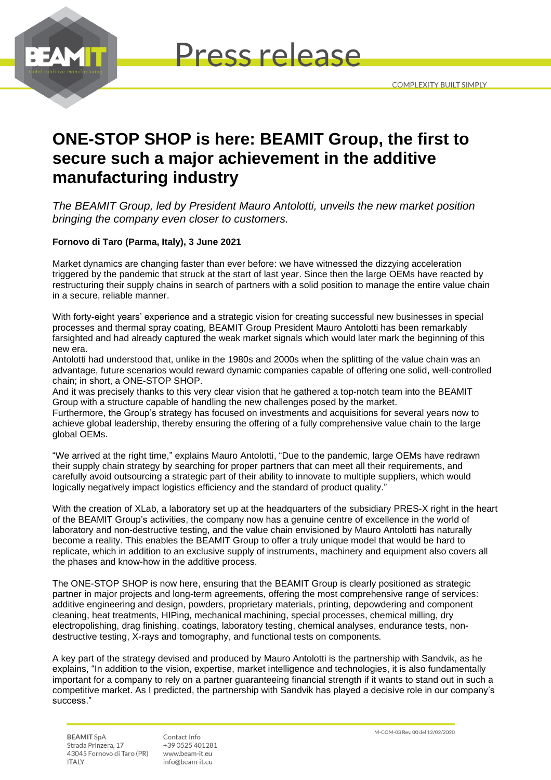



## **ONE-STOP SHOP is here: BEAMIT Group, the first to secure such a major achievement in the additive manufacturing industry**

*The BEAMIT Group, led by President Mauro Antolotti, unveils the new market position bringing the company even closer to customers.* 

## **Fornovo di Taro (Parma, Italy), 3 June 2021**

Market dynamics are changing faster than ever before: we have witnessed the dizzying acceleration triggered by the pandemic that struck at the start of last year. Since then the large OEMs have reacted by restructuring their supply chains in search of partners with a solid position to manage the entire value chain in a secure, reliable manner.

With forty-eight years' experience and a strategic vision for creating successful new businesses in special processes and thermal spray coating, BEAMIT Group President Mauro Antolotti has been remarkably farsighted and had already captured the weak market signals which would later mark the beginning of this new era.

Antolotti had understood that, unlike in the 1980s and 2000s when the splitting of the value chain was an advantage, future scenarios would reward dynamic companies capable of offering one solid, well-controlled chain; in short, a ONE-STOP SHOP.

And it was precisely thanks to this very clear vision that he gathered a top-notch team into the BEAMIT Group with a structure capable of handling the new challenges posed by the market.

Furthermore, the Group's strategy has focused on investments and acquisitions for several years now to achieve global leadership, thereby ensuring the offering of a fully comprehensive value chain to the large global OEMs.

"We arrived at the right time," explains Mauro Antolotti, "Due to the pandemic, large OEMs have redrawn their supply chain strategy by searching for proper partners that can meet all their requirements, and carefully avoid outsourcing a strategic part of their ability to innovate to multiple suppliers, which would logically negatively impact logistics efficiency and the standard of product quality."

With the creation of XLab, a laboratory set up at the headquarters of the subsidiary PRES-X right in the heart of the BEAMIT Group's activities, the company now has a genuine centre of excellence in the world of laboratory and non-destructive testing, and the value chain envisioned by Mauro Antolotti has naturally become a reality. This enables the BEAMIT Group to offer a truly unique model that would be hard to replicate, which in addition to an exclusive supply of instruments, machinery and equipment also covers all the phases and know-how in the additive process.

The ONE-STOP SHOP is now here, ensuring that the BEAMIT Group is clearly positioned as strategic partner in major projects and long-term agreements, offering the most comprehensive range of services: additive engineering and design, powders, proprietary materials, printing, depowdering and component cleaning, heat treatments, HIPing, mechanical machining, special processes, chemical milling, dry electropolishing, drag finishing, coatings, laboratory testing, chemical analyses, endurance tests, nondestructive testing, X-rays and tomography, and functional tests on components.

A key part of the strategy devised and produced by Mauro Antolotti is the partnership with Sandvik, as he explains, "In addition to the vision, expertise, market intelligence and technologies, it is also fundamentally important for a company to rely on a partner guaranteeing financial strength if it wants to stand out in such a competitive market. As I predicted, the partnership with Sandvik has played a decisive role in our company's success."

**BEAMIT SpA** Strada Prinzera, 17 43045 Fornovo di Taro (PR) **ITALY** 

Contact Info +39 0525 401281 www.beam-it.eu info@beam-it.eu

M-COM-03 Rev. 00 del 12/02/2020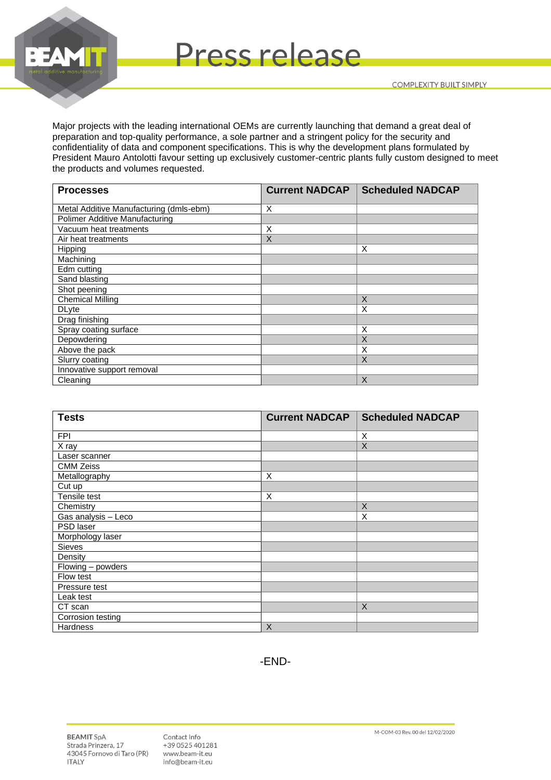



Major projects with the leading international OEMs are currently launching that demand a great deal of preparation and top-quality performance, a sole partner and a stringent policy for the security and confidentiality of data and component specifications. This is why the development plans formulated by President Mauro Antolotti favour setting up exclusively customer-centric plants fully custom designed to meet the products and volumes requested.

Press release

| <b>Processes</b>                        | <b>Current NADCAP</b> | <b>Scheduled NADCAP</b> |
|-----------------------------------------|-----------------------|-------------------------|
| Metal Additive Manufacturing (dmls-ebm) | X                     |                         |
| <b>Polimer Additive Manufacturing</b>   |                       |                         |
| Vacuum heat treatments                  | X                     |                         |
| Air heat treatments                     | X                     |                         |
| Hipping                                 |                       | X                       |
| Machining                               |                       |                         |
| Edm cutting                             |                       |                         |
| Sand blasting                           |                       |                         |
| Shot peening                            |                       |                         |
| <b>Chemical Milling</b>                 |                       | X                       |
| <b>DLyte</b>                            |                       | X                       |
| Drag finishing                          |                       |                         |
| Spray coating surface                   |                       | X                       |
| Depowdering                             |                       | Χ                       |
| Above the pack                          |                       | X                       |
| Slurry coating                          |                       | X                       |
| Innovative support removal              |                       |                         |
| Cleaning                                |                       | $\times$                |

| <b>Tests</b>        | <b>Current NADCAP</b> | <b>Scheduled NADCAP</b> |
|---------------------|-----------------------|-------------------------|
| <b>FPI</b>          |                       | X                       |
| X ray               |                       | $\times$                |
| Laser scanner       |                       |                         |
| <b>CMM Zeiss</b>    |                       |                         |
| Metallography       | X                     |                         |
| Cut up              |                       |                         |
| Tensile test        | X                     |                         |
| Chemistry           |                       | X                       |
| Gas analysis - Leco |                       | X                       |
| PSD laser           |                       |                         |
| Morphology laser    |                       |                         |
| Sieves              |                       |                         |
| Density             |                       |                         |
| Flowing - powders   |                       |                         |
| Flow test           |                       |                         |
| Pressure test       |                       |                         |
| Leak test           |                       |                         |
| CT scan             |                       | $\sf X$                 |
| Corrosion testing   |                       |                         |
| Hardness            | X                     |                         |

-END-